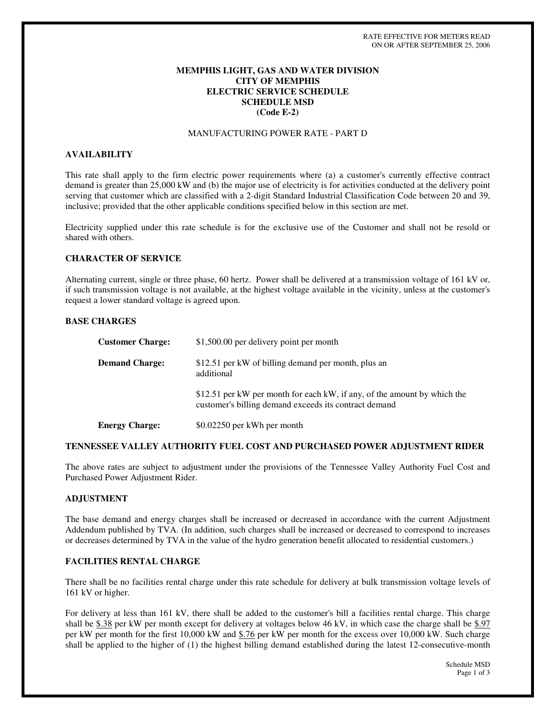# **MEMPHIS LIGHT, GAS AND WATER DIVISION CITY OF MEMPHIS ELECTRIC SERVICE SCHEDULE SCHEDULE MSD (Code E-2)**

## MANUFACTURING POWER RATE - PART D

## **AVAILABILITY**

This rate shall apply to the firm electric power requirements where (a) a customer's currently effective contract demand is greater than 25,000 kW and (b) the major use of electricity is for activities conducted at the delivery point serving that customer which are classified with a 2-digit Standard Industrial Classification Code between 20 and 39, inclusive; provided that the other applicable conditions specified below in this section are met.

Electricity supplied under this rate schedule is for the exclusive use of the Customer and shall not be resold or shared with others.

#### **CHARACTER OF SERVICE**

Alternating current, single or three phase, 60 hertz. Power shall be delivered at a transmission voltage of 161 kV or, if such transmission voltage is not available, at the highest voltage available in the vicinity, unless at the customer's request a lower standard voltage is agreed upon.

#### **BASE CHARGES**

| <b>Customer Charge:</b> | \$1,500.00 per delivery point per month                                                                                           |
|-------------------------|-----------------------------------------------------------------------------------------------------------------------------------|
| <b>Demand Charge:</b>   | \$12.51 per kW of billing demand per month, plus an<br>additional                                                                 |
|                         | \$12.51 per kW per month for each kW, if any, of the amount by which the<br>customer's billing demand exceeds its contract demand |
| <b>Energy Charge:</b>   | \$0.02250 per kWh per month                                                                                                       |

#### **TENNESSEE VALLEY AUTHORITY FUEL COST AND PURCHASED POWER ADJUSTMENT RIDER**

The above rates are subject to adjustment under the provisions of the Tennessee Valley Authority Fuel Cost and Purchased Power Adjustment Rider.

## **ADJUSTMENT**

The base demand and energy charges shall be increased or decreased in accordance with the current Adjustment Addendum published by TVA. (In addition, such charges shall be increased or decreased to correspond to increases or decreases determined by TVA in the value of the hydro generation benefit allocated to residential customers.)

#### **FACILITIES RENTAL CHARGE**

There shall be no facilities rental charge under this rate schedule for delivery at bulk transmission voltage levels of 161 kV or higher.

For delivery at less than 161 kV, there shall be added to the customer's bill a facilities rental charge. This charge shall be  $$.38$  per kW per month except for delivery at voltages below 46 kV, in which case the charge shall be  $$.97$ per kW per month for the first 10,000 kW and \$.76 per kW per month for the excess over 10,000 kW. Such charge shall be applied to the higher of (1) the highest billing demand established during the latest 12-consecutive-month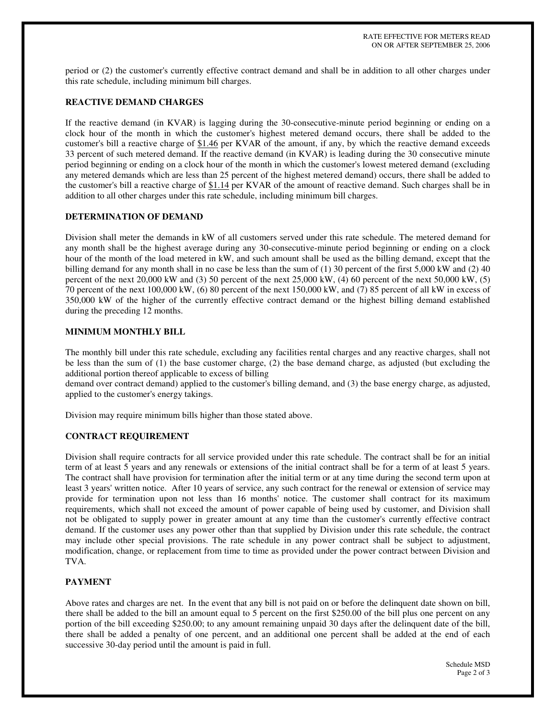period or (2) the customer's currently effective contract demand and shall be in addition to all other charges under this rate schedule, including minimum bill charges.

# **REACTIVE DEMAND CHARGES**

If the reactive demand (in KVAR) is lagging during the 30-consecutive-minute period beginning or ending on a clock hour of the month in which the customer's highest metered demand occurs, there shall be added to the customer's bill a reactive charge of \$1.46 per KVAR of the amount, if any, by which the reactive demand exceeds 33 percent of such metered demand. If the reactive demand (in KVAR) is leading during the 30 consecutive minute period beginning or ending on a clock hour of the month in which the customer's lowest metered demand (excluding any metered demands which are less than 25 percent of the highest metered demand) occurs, there shall be added to the customer's bill a reactive charge of \$1.14 per KVAR of the amount of reactive demand. Such charges shall be in addition to all other charges under this rate schedule, including minimum bill charges.

# **DETERMINATION OF DEMAND**

Division shall meter the demands in kW of all customers served under this rate schedule. The metered demand for any month shall be the highest average during any 30-consecutive-minute period beginning or ending on a clock hour of the month of the load metered in kW, and such amount shall be used as the billing demand, except that the billing demand for any month shall in no case be less than the sum of (1) 30 percent of the first 5,000 kW and (2) 40 percent of the next 20,000 kW and (3) 50 percent of the next 25,000 kW, (4) 60 percent of the next 50,000 kW, (5) 70 percent of the next 100,000 kW, (6) 80 percent of the next 150,000 kW, and (7) 85 percent of all kW in excess of 350,000 kW of the higher of the currently effective contract demand or the highest billing demand established during the preceding 12 months.

## **MINIMUM MONTHLY BILL**

The monthly bill under this rate schedule, excluding any facilities rental charges and any reactive charges, shall not be less than the sum of (1) the base customer charge, (2) the base demand charge, as adjusted (but excluding the additional portion thereof applicable to excess of billing

demand over contract demand) applied to the customer's billing demand, and (3) the base energy charge, as adjusted, applied to the customer's energy takings.

Division may require minimum bills higher than those stated above.

# **CONTRACT REQUIREMENT**

Division shall require contracts for all service provided under this rate schedule. The contract shall be for an initial term of at least 5 years and any renewals or extensions of the initial contract shall be for a term of at least 5 years. The contract shall have provision for termination after the initial term or at any time during the second term upon at least 3 years' written notice. After 10 years of service, any such contract for the renewal or extension of service may provide for termination upon not less than 16 months' notice. The customer shall contract for its maximum requirements, which shall not exceed the amount of power capable of being used by customer, and Division shall not be obligated to supply power in greater amount at any time than the customer's currently effective contract demand. If the customer uses any power other than that supplied by Division under this rate schedule, the contract may include other special provisions. The rate schedule in any power contract shall be subject to adjustment, modification, change, or replacement from time to time as provided under the power contract between Division and TVA.

# **PAYMENT**

Above rates and charges are net. In the event that any bill is not paid on or before the delinquent date shown on bill, there shall be added to the bill an amount equal to 5 percent on the first \$250.00 of the bill plus one percent on any portion of the bill exceeding \$250.00; to any amount remaining unpaid 30 days after the delinquent date of the bill, there shall be added a penalty of one percent, and an additional one percent shall be added at the end of each successive 30-day period until the amount is paid in full.